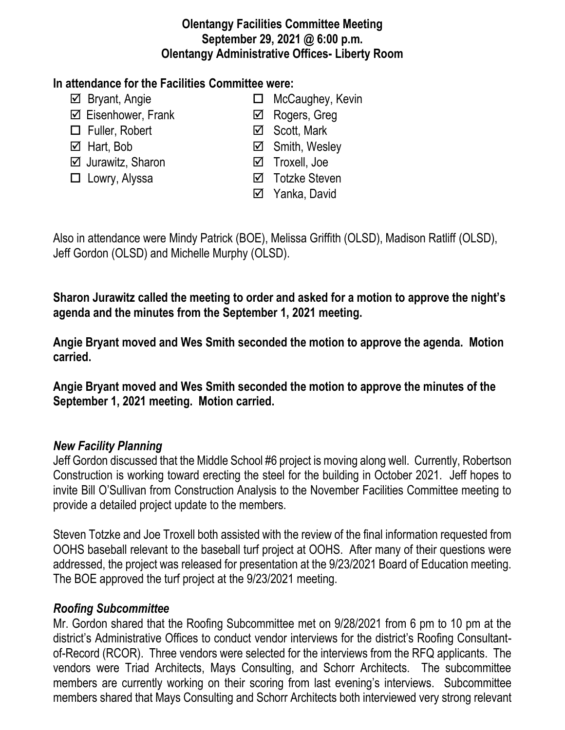## **Olentangy Facilities Committee Meeting September 29, 2021 @ 6:00 p.m. Olentangy Administrative Offices- Liberty Room**

# **In attendance for the Facilities Committee were:**

- 
- $\boxtimes$  Eisenhower, Frank **I I** Rogers, Greg
- $\Box$  Fuller, Robert  $\Box$  Scott, Mark
- 
- $\boxtimes$  Jurawitz, Sharon **V** Troxell, Joe
- 
- $\boxtimes$  Bryant, Angie **MicCaughey, Kevin** 
	-
	-
- $\boxtimes$  Hart, Bob  $\boxtimes$  Smith, Wesley
	-
- □ Lowry, Alyssa <br>
□ Cowry, Alyssa <br>
□ Totzke Steven
	- **⊠** Yanka, David

Also in attendance were Mindy Patrick (BOE), Melissa Griffith (OLSD), Madison Ratliff (OLSD), Jeff Gordon (OLSD) and Michelle Murphy (OLSD).

**Sharon Jurawitz called the meeting to order and asked for a motion to approve the night's agenda and the minutes from the September 1, 2021 meeting.**

**Angie Bryant moved and Wes Smith seconded the motion to approve the agenda. Motion carried.**

**Angie Bryant moved and Wes Smith seconded the motion to approve the minutes of the September 1, 2021 meeting. Motion carried.**

# *New Facility Planning*

Jeff Gordon discussed that the Middle School #6 project is moving along well. Currently, Robertson Construction is working toward erecting the steel for the building in October 2021. Jeff hopes to invite Bill O'Sullivan from Construction Analysis to the November Facilities Committee meeting to provide a detailed project update to the members.

Steven Totzke and Joe Troxell both assisted with the review of the final information requested from OOHS baseball relevant to the baseball turf project at OOHS. After many of their questions were addressed, the project was released for presentation at the 9/23/2021 Board of Education meeting. The BOE approved the turf project at the 9/23/2021 meeting.

#### *Roofing Subcommittee*

Mr. Gordon shared that the Roofing Subcommittee met on 9/28/2021 from 6 pm to 10 pm at the district's Administrative Offices to conduct vendor interviews for the district's Roofing Consultantof-Record (RCOR). Three vendors were selected for the interviews from the RFQ applicants. The vendors were Triad Architects, Mays Consulting, and Schorr Architects. The subcommittee members are currently working on their scoring from last evening's interviews. Subcommittee members shared that Mays Consulting and Schorr Architects both interviewed very strong relevant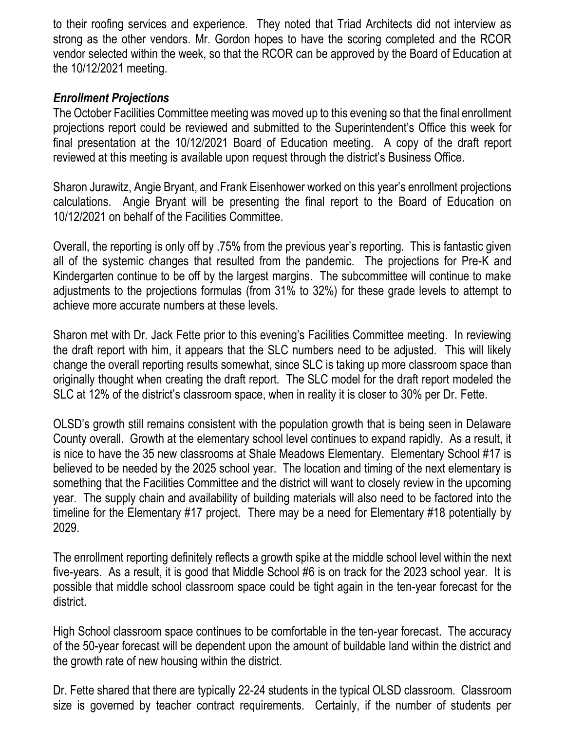to their roofing services and experience. They noted that Triad Architects did not interview as strong as the other vendors. Mr. Gordon hopes to have the scoring completed and the RCOR vendor selected within the week, so that the RCOR can be approved by the Board of Education at the 10/12/2021 meeting.

# *Enrollment Projections*

The October Facilities Committee meeting was moved up to this evening so that the final enrollment projections report could be reviewed and submitted to the Superintendent's Office this week for final presentation at the 10/12/2021 Board of Education meeting. A copy of the draft report reviewed at this meeting is available upon request through the district's Business Office.

Sharon Jurawitz, Angie Bryant, and Frank Eisenhower worked on this year's enrollment projections calculations. Angie Bryant will be presenting the final report to the Board of Education on 10/12/2021 on behalf of the Facilities Committee.

Overall, the reporting is only off by .75% from the previous year's reporting. This is fantastic given all of the systemic changes that resulted from the pandemic. The projections for Pre-K and Kindergarten continue to be off by the largest margins. The subcommittee will continue to make adjustments to the projections formulas (from 31% to 32%) for these grade levels to attempt to achieve more accurate numbers at these levels.

Sharon met with Dr. Jack Fette prior to this evening's Facilities Committee meeting. In reviewing the draft report with him, it appears that the SLC numbers need to be adjusted. This will likely change the overall reporting results somewhat, since SLC is taking up more classroom space than originally thought when creating the draft report. The SLC model for the draft report modeled the SLC at 12% of the district's classroom space, when in reality it is closer to 30% per Dr. Fette.

OLSD's growth still remains consistent with the population growth that is being seen in Delaware County overall. Growth at the elementary school level continues to expand rapidly. As a result, it is nice to have the 35 new classrooms at Shale Meadows Elementary. Elementary School #17 is believed to be needed by the 2025 school year. The location and timing of the next elementary is something that the Facilities Committee and the district will want to closely review in the upcoming year. The supply chain and availability of building materials will also need to be factored into the timeline for the Elementary #17 project. There may be a need for Elementary #18 potentially by 2029.

The enrollment reporting definitely reflects a growth spike at the middle school level within the next five-years. As a result, it is good that Middle School #6 is on track for the 2023 school year. It is possible that middle school classroom space could be tight again in the ten-year forecast for the district.

High School classroom space continues to be comfortable in the ten-year forecast. The accuracy of the 50-year forecast will be dependent upon the amount of buildable land within the district and the growth rate of new housing within the district.

Dr. Fette shared that there are typically 22-24 students in the typical OLSD classroom. Classroom size is governed by teacher contract requirements. Certainly, if the number of students per